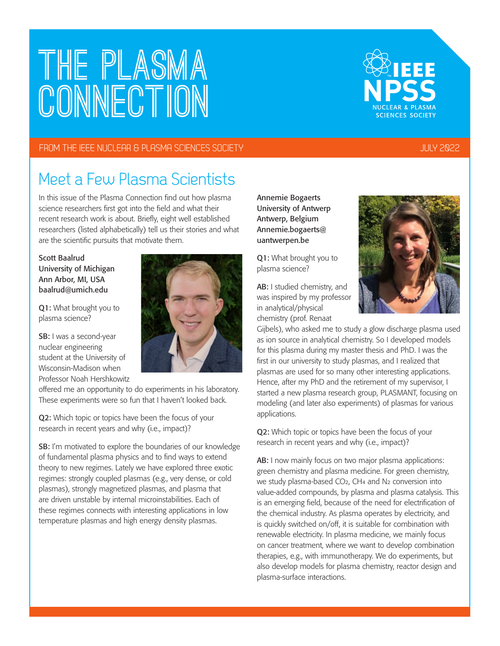# **The PLASMA CONNECTION**

#### FROM THE IEEE NUCLEAR & PLASMA SCIENCES SOCIETY JULY 2022

#### Meet a Few Plasma Scientists

In this issue of the Plasma Connection find out how plasma science researchers first got into the field and what their recent research work is about. Briefly, eight well established researchers (listed alphabetically) tell us their stories and what are the scientific pursuits that motivate them.

Scott Baalrud University of Michigan Ann Arbor, MI, USA baalrud@umich.edu

Q1: What brought you to plasma science?

SB: I was a second-year nuclear engineering student at the University of Wisconsin-Madison when Professor Noah Hershkowitz

offered me an opportunity to do experiments in his laboratory. These experiments were so fun that I haven't looked back.

Q2: Which topic or topics have been the focus of your research in recent years and why (i.e., impact)?

SB: I'm motivated to explore the boundaries of our knowledge of fundamental plasma physics and to find ways to extend theory to new regimes. Lately we have explored three exotic regimes: strongly coupled plasmas (e.g., very dense, or cold plasmas), strongly magnetized plasmas, and plasma that are driven unstable by internal microinstabilities. Each of these regimes connects with interesting applications in low temperature plasmas and high energy density plasmas.

Annemie Bogaerts University of Antwerp Antwerp, Belgium Annemie.bogaerts@ uantwerpen.be

Q1: What brought you to plasma science?

AB: I studied chemistry, and was inspired by my professor in analytical/physical chemistry (prof. Renaat

Gijbels), who asked me to study a glow discharge plasma used as ion source in analytical chemistry. So I developed models for this plasma during my master thesis and PhD. I was the first in our university to study plasmas, and I realized that plasmas are used for so many other interesting applications. Hence, after my PhD and the retirement of my supervisor, I started a new plasma research group, PLASMANT, focusing on modeling (and later also experiments) of plasmas for various applications.

Q2: Which topic or topics have been the focus of your research in recent years and why (i.e., impact)?

AB: I now mainly focus on two major plasma applications: green chemistry and plasma medicine. For green chemistry, we study plasma-based CO2, CH4 and N2 conversion into value-added compounds, by plasma and plasma catalysis. This is an emerging field, because of the need for electrification of the chemical industry. As plasma operates by electricity, and is quickly switched on/off, it is suitable for combination with renewable electricity. In plasma medicine, we mainly focus on cancer treatment, where we want to develop combination therapies, e.g., with immunotherapy. We do experiments, but also develop models for plasma chemistry, reactor design and plasma-surface interactions.





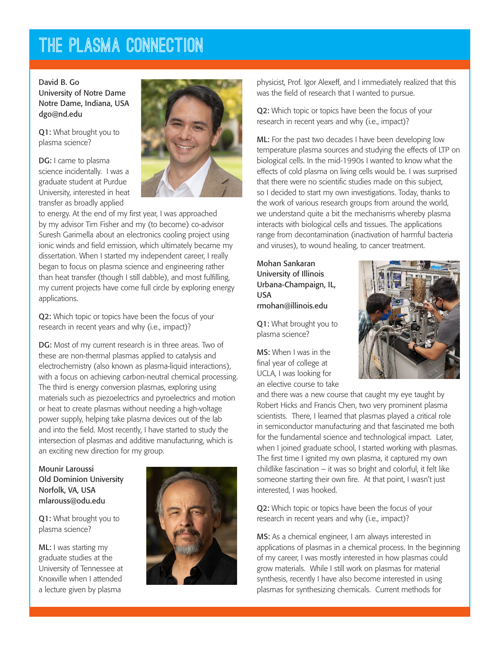### **The PLASMA CONNECTION**

#### David B. Go University of Notre Dame Notre Dame, Indiana, USA dgo@nd.edu

Q1: What brought you to plasma science?

DG: I came to plasma science incidentally. I was a graduate student at Purdue University, interested in heat transfer as broadly applied



to energy. At the end of my first year, I was approached by my advisor Tim Fisher and my (to become) co-advisor Suresh Garimella about an electronics cooling project using ionic winds and field emission, which ultimately became my dissertation. When I started my independent career, I really began to focus on plasma science and engineering rather than heat transfer (though I still dabble), and most fulfilling, my current projects have come full circle by exploring energy applications.

Q2: Which topic or topics have been the focus of your research in recent years and why (i.e., impact)?

DG: Most of my current research is in three areas. Two of these are non-thermal plasmas applied to catalysis and electrochemistry (also known as plasma-liquid interactions), with a focus on achieving carbon-neutral chemical processing. The third is energy conversion plasmas, exploring using materials such as piezoelectrics and pyroelectrics and motion or heat to create plasmas without needing a high-voltage power supply, helping take plasma devices out of the lab and into the field. Most recently, I have started to study the intersection of plasmas and additive manufacturing, which is an exciting new direction for my group.

Mounir Laroussi Old Dominion University Norfolk, VA, USA mlarouss@odu.edu

Q1: What brought you to plasma science?

ML: I was starting my graduate studies at the University of Tennessee at Knoxville when I attended a lecture given by plasma



physicist, Prof. Igor Alexeff, and I immediately realized that this was the field of research that I wanted to pursue.

Q2: Which topic or topics have been the focus of your research in recent years and why (i.e., impact)?

ML: For the past two decades I have been developing low temperature plasma sources and studying the effects of LTP on biological cells. In the mid-1990s I wanted to know what the effects of cold plasma on living cells would be. I was surprised that there were no scientific studies made on this subject, so I decided to start my own investigations. Today, thanks to the work of various research groups from around the world, we understand quite a bit the mechanisms whereby plasma interacts with biological cells and tissues. The applications range from decontamination (inactivation of harmful bacteria and viruses), to wound healing, to cancer treatment.

Mohan Sankaran University of Illinois Urbana-Champaign, IL, USA rmohan@illinois.edu

Q1: What brought you to plasma science?

MS: When I was in the final year of college at UCLA, I was looking for an elective course to take



and there was a new course that caught my eye taught by Robert Hicks and Francis Chen, two very prominent plasma scientists. There, I learned that plasmas played a critical role in semiconductor manufacturing and that fascinated me both for the fundamental science and technological impact. Later, when I joined graduate school, I started working with plasmas. The first time I ignited my own plasma, it captured my own childlike fascination – it was so bright and colorful, it felt like someone starting their own fire. At that point, I wasn't just interested, I was hooked.

Q2: Which topic or topics have been the focus of your research in recent years and why (i.e., impact)?

MS: As a chemical engineer, I am always interested in applications of plasmas in a chemical process. In the beginning of my career, I was mostly interested in how plasmas could grow materials. While I still work on plasmas for material synthesis, recently I have also become interested in using plasmas for synthesizing chemicals. Current methods for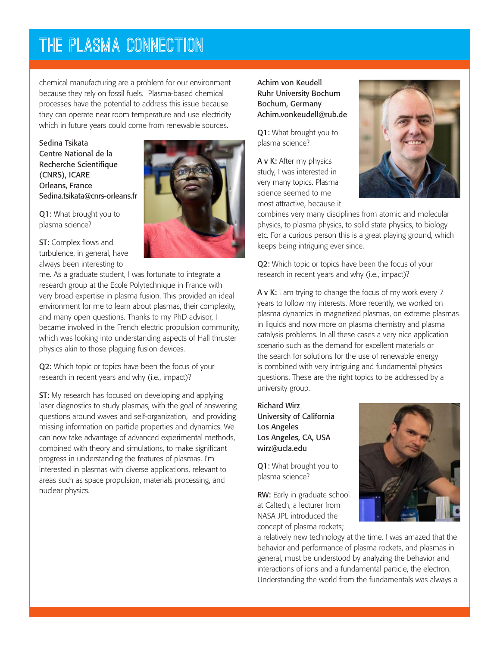## **The PLASMA CONNECTION**

chemical manufacturing are a problem for our environment because they rely on fossil fuels. Plasma-based chemical processes have the potential to address this issue because they can operate near room temperature and use electricity which in future years could come from renewable sources.

Sedina Tsikata Centre National de la Recherche Scientifique (CNRS), ICARE Orleans, France Sedina.tsikata@cnrs-orleans.fr

Q1: What brought you to plasma science?

ST: Complex flows and turbulence, in general, have always been interesting to

me. As a graduate student, I was fortunate to integrate a research group at the Ecole Polytechnique in France with very broad expertise in plasma fusion. This provided an ideal environment for me to learn about plasmas, their complexity, and many open questions. Thanks to my PhD advisor, I became involved in the French electric propulsion community, which was looking into understanding aspects of Hall thruster physics akin to those plaguing fusion devices.

Q2: Which topic or topics have been the focus of your research in recent years and why (i.e., impact)?

ST: My research has focused on developing and applying laser diagnostics to study plasmas, with the goal of answering questions around waves and self-organization, and providing missing information on particle properties and dynamics. We can now take advantage of advanced experimental methods, combined with theory and simulations, to make significant progress in understanding the features of plasmas. I'm interested in plasmas with diverse applications, relevant to areas such as space propulsion, materials processing, and nuclear physics.

Achim von Keudell Ruhr University Bochum Bochum, Germany Achim.vonkeudell@rub.de

Q1: What brought you to plasma science?

A v K: After my physics study, I was interested in very many topics. Plasma science seemed to me most attractive, because it



combines very many disciplines from atomic and molecular physics, to plasma physics, to solid state physics, to biology etc. For a curious person this is a great playing ground, which keeps being intriguing ever since.

Q2: Which topic or topics have been the focus of your research in recent years and why (i.e., impact)?

A v K: I am trying to change the focus of my work every 7 years to follow my interests. More recently, we worked on plasma dynamics in magnetized plasmas, on extreme plasmas in liquids and now more on plasma chemistry and plasma catalysis problems. In all these cases a very nice application scenario such as the demand for excellent materials or the search for solutions for the use of renewable energy is combined with very intriguing and fundamental physics questions. These are the right topics to be addressed by a university group.

Richard Wirz University of California Los Angeles Los Angeles, CA, USA wirz@ucla.edu

Q1: What brought you to plasma science?

RW: Early in graduate school at Caltech, a lecturer from NASA JPL introduced the concept of plasma rockets;



a relatively new technology at the time. I was amazed that the behavior and performance of plasma rockets, and plasmas in general, must be understood by analyzing the behavior and interactions of ions and a fundamental particle, the electron. Understanding the world from the fundamentals was always a